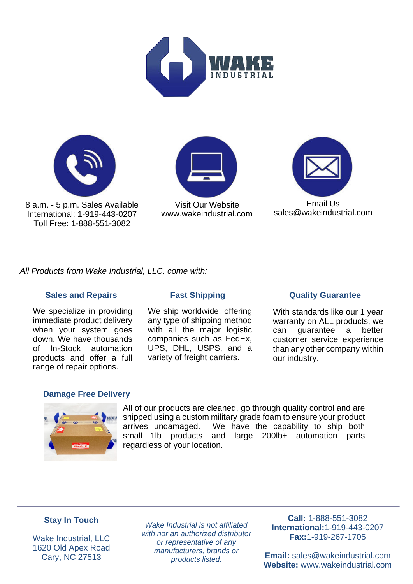



8 a.m. - 5 p.m. Sales Available International: 1-919-443-0207 Toll Free: 1-888-551-3082



[www.wakeindustrial.com](https://www.wakeindustrial.com) Visit Our Website



[sales@wakeindustrial.com](mailto:sales@wakeindustrial.com)

All Products from Wake Industrial, LLC, come with:

# **Sales and Repairs Fast Shipping Cuality Guarantee**

We specialize in providing immediate product delivery when your system goes down. We have thousands of In-Stock automation products and offer a full range of repair options.

We ship worldwide, offering any type of shipping method with all the major logistic companies such as FedEx, UPS, DHL, USPS, and a variety of freight carriers.

With standards like our 1 year warranty on ALL products, we can guarantee a better customer service experience than any other company within our industry.

# **Damage Free Delivery**



All of our products are cleaned, go through quality control and are shipped using a custom military grade foam to ensure your product arrives undamaged. We have the capability to ship both small 1lb products and large 200lb+ automation parts regardless of your location.

# **Stay In Touch**

Wake Industrial, LLC 1620 Old Apex Road Cary, NC 27513

Wake Industrial is not affiliated with nor an authorized distributor or representative of any manufacturers, brands or products listed.

**Call:** 1-888-551-3082 **International:**1-919-443-0207 **Fax:**1-919-267-1705

**Email:** [sales@wakeindustrial.com](mailto:sales@wakeindustrial.com) **Website:** [www.wakeindustrial.com](https://www.wakeindustrial.com)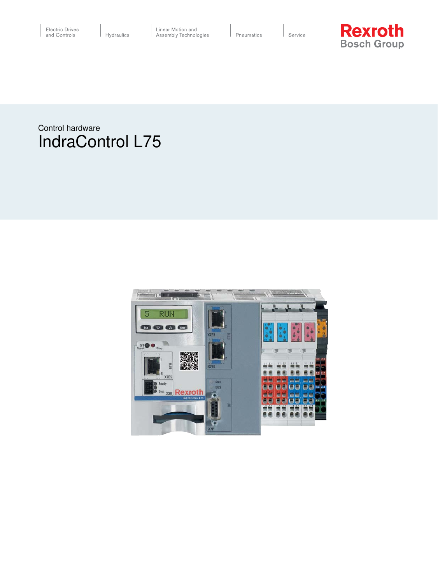Service



Control hardware **IndraControl L75** 

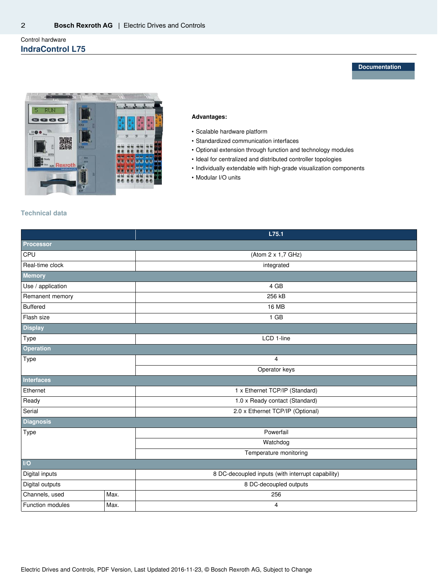# Control hardware **IndraControl L75**

**Documentation**



### **Advantages:**

- • Scalable hardware platform
- • Standardized communication interfaces
- • Optional extension through function and technology modules
- • Ideal for centralized and distributed controller topologies
- • Individually extendable with high-grade visualization components
- • Modular I/O units

# **Technical data**

|                   |           | L75.1                                             |  |
|-------------------|-----------|---------------------------------------------------|--|
| Processor         |           |                                                   |  |
| CPU               |           | (Atom 2 x 1,7 GHz)                                |  |
| Real-time clock   |           | integrated                                        |  |
| Memory            |           |                                                   |  |
| Use / application |           | 4 GB                                              |  |
| Remanent memory   |           | 256 kB                                            |  |
| <b>Buffered</b>   |           | <b>16 MB</b>                                      |  |
| Flash size        |           | $1$ GB                                            |  |
| <b>Display</b>    |           |                                                   |  |
| Type              |           | LCD 1-line                                        |  |
| Operation         |           |                                                   |  |
| Type              |           | 4                                                 |  |
|                   |           | Operator keys                                     |  |
| Interfaces        |           |                                                   |  |
| Ethernet          |           | 1 x Ethernet TCP/IP (Standard)                    |  |
| Ready             |           | 1.0 x Ready contact (Standard)                    |  |
| Serial            |           | 2.0 x Ethernet TCP/IP (Optional)                  |  |
| <b>Diagnosis</b>  |           |                                                   |  |
| Type              |           | Powerfail                                         |  |
|                   |           | Watchdog                                          |  |
|                   |           | Temperature monitoring                            |  |
| $\overline{U}$    |           |                                                   |  |
| Digital inputs    |           | 8 DC-decoupled inputs (with interrupt capability) |  |
| Digital outputs   |           | 8 DC-decoupled outputs                            |  |
| Channels, used    | Max.      | 256                                               |  |
| Function modules  | Max.<br>4 |                                                   |  |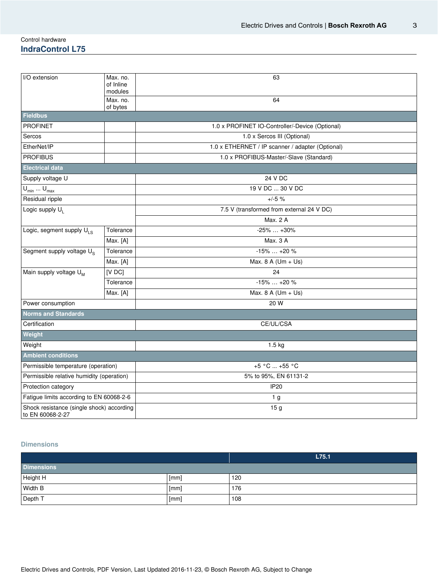## Control hardware **IndraControl L75**

| I/O extension                                                 | Max. no.<br>of Inline<br>modules | 63                                               |  |
|---------------------------------------------------------------|----------------------------------|--------------------------------------------------|--|
|                                                               | Max. no.<br>of bytes             | 64                                               |  |
| <b>Fieldbus</b>                                               |                                  |                                                  |  |
| <b>PROFINET</b>                                               |                                  | 1.0 x PROFINET IO-Controller/-Device (Optional)  |  |
| Sercos                                                        |                                  | 1.0 x Sercos III (Optional)                      |  |
| EtherNet/IP                                                   |                                  | 1.0 x ETHERNET / IP scanner / adapter (Optional) |  |
| <b>PROFIBUS</b>                                               |                                  | 1.0 x PROFIBUS-Master/-Slave (Standard)          |  |
| <b>Electrical data</b>                                        |                                  |                                                  |  |
| Supply voltage U                                              |                                  | 24 V DC                                          |  |
| $U_{\text{min}} \dots U_{\text{max}}$                         |                                  | 19 V DC  30 V DC                                 |  |
| Residual ripple                                               |                                  | $+/-5$ %                                         |  |
| Logic supply U <sub>1</sub>                                   |                                  | 7.5 V (transformed from external 24 V DC)        |  |
|                                                               |                                  | Max. 2 A                                         |  |
| Logic, segment supply $U_{LS}$                                | Tolerance                        | $-25\%  +30\%$                                   |  |
|                                                               | Max. [A]                         | Max. 3 A                                         |  |
| Segment supply voltage U <sub>S</sub>                         | Tolerance                        | $-15\%+20\%$                                     |  |
|                                                               | Max. [A]                         | Max. 8 A ( $Um + Us$ )                           |  |
| Main supply voltage U <sub>M</sub>                            | $[V$ DC $]$                      | 24                                               |  |
|                                                               | Tolerance                        | $-15\%+20\%$                                     |  |
|                                                               | Max. [A]                         | Max. 8 A (Um + Us)                               |  |
| Power consumption                                             |                                  | 20 W                                             |  |
| <b>Norms and Standards</b>                                    |                                  |                                                  |  |
| Certification                                                 |                                  | CE/UL/CSA                                        |  |
| Weight                                                        |                                  |                                                  |  |
| Weight                                                        |                                  | 1.5 kg                                           |  |
| <b>Ambient conditions</b>                                     |                                  |                                                  |  |
| Permissible temperature (operation)                           |                                  | $+5 °C  +55 °C$                                  |  |
| Permissible relative humidity (operation)                     |                                  | 5% to 95%, EN 61131-2                            |  |
| Protection category                                           |                                  | <b>IP20</b>                                      |  |
| Fatigue limits according to EN 60068-2-6                      |                                  | 1 <sub>g</sub>                                   |  |
| Shock resistance (single shock) according<br>to EN 60068-2-27 |                                  | 15 <sub>g</sub>                                  |  |

# **Dimensions**

|                   |      | L75.1 |
|-------------------|------|-------|
| <b>Dimensions</b> |      |       |
| Height H          | [mm] | 120   |
| Width B           | [mm] | 176   |
| Depth T           | [mm] | 108   |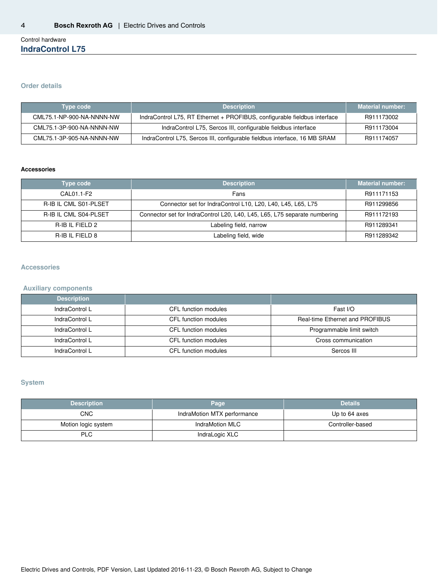## Control hardware **IndraControl L75**

#### **Order details**

| Type code                 | <b>Description</b>                                                        | <b>Material number:</b> |
|---------------------------|---------------------------------------------------------------------------|-------------------------|
| CML75.1-NP-900-NA-NNNN-NW | IndraControl L75, RT Ethernet + PROFIBUS, configurable fieldbus interface | R911173002              |
| CML75.1-3P-900-NA-NNNN-NW | IndraControl L75, Sercos III, configurable fieldbus interface             | R911173004              |
| CML75.1-3P-905-NA-NNNN-NW | IndraControl L75, Sercos III, configurable fieldbus interface, 16 MB SRAM | R911174057              |

### **Accessories**

| Type code                    | <b>Description</b>                                                        | <b>Material number:</b> |
|------------------------------|---------------------------------------------------------------------------|-------------------------|
| CAL01.1-F2                   | Fans                                                                      | R911171153              |
| R-IB IL CML S01-PLSET        | Connector set for IndraControl L10, L20, L40, L45, L65, L75               | R911299856              |
| <b>R-IB IL CML S04-PLSET</b> | Connector set for IndraControl L20, L40, L45, L65, L75 separate numbering | R911172193              |
| R-IB IL FIELD 2              | Labeling field, narrow                                                    | R911289341              |
| R-IB IL FIELD 8              | Labeling field, wide                                                      | R911289342              |

### **Accessories**

### **Auxiliary components**

| <b>Description</b> |                      |                                        |
|--------------------|----------------------|----------------------------------------|
| IndraControl I     | CFL function modules | Fast I/O                               |
| IndraControl I     | CFL function modules | <b>Real-time Ethernet and PROFIBUS</b> |
| IndraControl L     | CFL function modules | Programmable limit switch              |
| IndraControl L     | CFL function modules | Cross communication                    |
| IndraControl I     | CFL function modules | Sercos III                             |

# **System**

| <b>Description</b>  | Page                        | <b>Details</b>   |
|---------------------|-----------------------------|------------------|
| <b>CNC</b>          | IndraMotion MTX performance | Up to 64 axes    |
| Motion logic system | IndraMotion MLC             | Controller-based |
| <b>PLC</b>          | IndraLogic XLC              |                  |